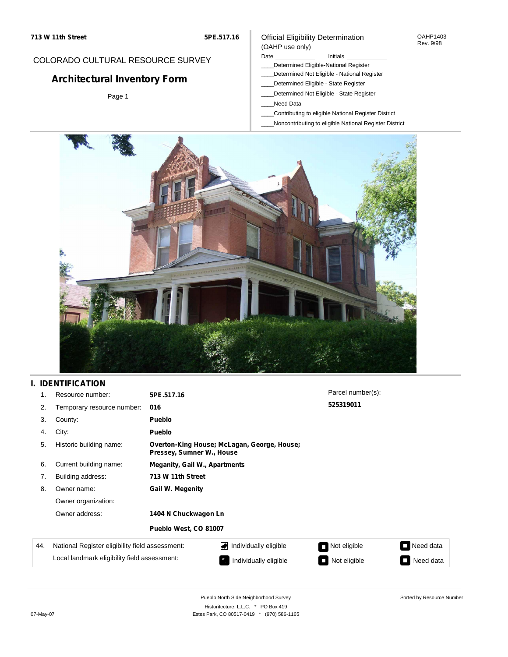#### OAHP1403 Rev. 9/98

## COLORADO CULTURAL RESOURCE SURVEY

# **Architectural Inventory Form**

Page 1

#### Date **Initials** Initials

Official Eligibility Determination

- \_\_\_\_Determined Eligible-National Register
- \_\_\_\_Determined Not Eligible National Register
- \_\_\_\_Determined Eligible State Register
- \_\_\_\_Determined Not Eligible State Register
- \_\_\_\_Need Data

(OAHP use only)

- \_\_\_\_Contributing to eligible National Register District
- \_\_\_\_Noncontributing to eligible National Register District



## **I. IDENTIFICATION**

| 1.  | Resource number:                                | 5PE.517.16                           |                                                                          | Parcel number(s): |           |  |  |
|-----|-------------------------------------------------|--------------------------------------|--------------------------------------------------------------------------|-------------------|-----------|--|--|
| 2.  | Temporary resource number:                      | 016                                  |                                                                          | 525319011         |           |  |  |
| 3.  | County:                                         | <b>Pueblo</b>                        |                                                                          |                   |           |  |  |
| 4.  | City:                                           | <b>Pueblo</b>                        |                                                                          |                   |           |  |  |
| 5.  | Historic building name:                         |                                      | Overton-King House; McLagan, George, House;<br>Pressey, Sumner W., House |                   |           |  |  |
| 6.  | Current building name:                          | <b>Meganity, Gail W., Apartments</b> |                                                                          |                   |           |  |  |
| 7.  | Building address:                               | 713 W 11th Street                    |                                                                          |                   |           |  |  |
| 8.  | Owner name:                                     | <b>Gail W. Megenity</b>              |                                                                          |                   |           |  |  |
|     | Owner organization:                             |                                      |                                                                          |                   |           |  |  |
|     | Owner address:                                  | 1404 N Chuckwagon Ln                 |                                                                          |                   |           |  |  |
|     |                                                 | Pueblo West, CO 81007                |                                                                          |                   |           |  |  |
| 44. | National Register eligibility field assessment: |                                      | Individually eligible                                                    | Not eligible      | Need data |  |  |
|     | Local landmark eligibility field assessment:    |                                      | Individually eligible                                                    | Not eligible<br>n | Need data |  |  |

Sorted by Resource Number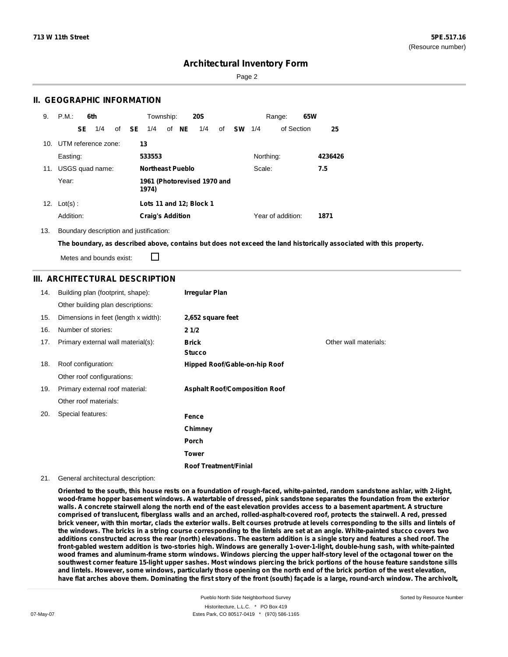Page 2

### **II. GEOGRAPHIC INFORMATION**

| 9.  | P.M.                    |    | 6th             |              | Township:               |       | <b>20S</b>                  |    |           |           | Range:            | 65W |         |
|-----|-------------------------|----|-----------------|--------------|-------------------------|-------|-----------------------------|----|-----------|-----------|-------------------|-----|---------|
|     |                         | SE | 1/4             | of <b>SE</b> | 1/4                     | of NE | 1/4                         | of | <b>SW</b> | 1/4       | of Section        |     | 25      |
|     | 10. UTM reference zone: |    |                 |              | 13                      |       |                             |    |           |           |                   |     |         |
|     | Easting:                |    |                 |              | 533553                  |       |                             |    |           | Northing: |                   |     | 4236426 |
| 11. |                         |    | USGS quad name: |              | <b>Northeast Pueblo</b> |       |                             |    |           | Scale:    |                   |     | 7.5     |
|     | Year:                   |    |                 |              | 1974)                   |       | 1961 (Photorevised 1970 and |    |           |           |                   |     |         |
| 12. | $Lot(s)$ :              |    |                 |              |                         |       | Lots 11 and 12; Block 1     |    |           |           |                   |     |         |
|     | Addition:               |    |                 |              | <b>Craig's Addition</b> |       |                             |    |           |           | Year of addition: |     | 1871    |

13. Boundary description and justification:

The boundary, as described above, contains but does not exceed the land historically associated with this property.

П Metes and bounds exist:

### **III. ARCHITECTURAL DESCRIPTION**

| 14. | Building plan (footprint, shape):    | <b>Irregular Plan</b>                |                       |
|-----|--------------------------------------|--------------------------------------|-----------------------|
|     | Other building plan descriptions:    |                                      |                       |
| 15. | Dimensions in feet (length x width): | 2,652 square feet                    |                       |
| 16. | Number of stories:                   | 21/2                                 |                       |
| 17. | Primary external wall material(s):   | <b>Brick</b><br><b>Stucco</b>        | Other wall materials: |
| 18. | Roof configuration:                  | <b>Hipped Roof/Gable-on-hip Roof</b> |                       |
|     | Other roof configurations:           |                                      |                       |
| 19. | Primary external roof material:      | <b>Asphalt Roof/Composition Roof</b> |                       |
|     | Other roof materials:                |                                      |                       |
| 20. | Special features:                    | Fence                                |                       |
|     |                                      | Chimney                              |                       |
|     |                                      | Porch                                |                       |
|     |                                      | <b>Tower</b>                         |                       |
|     |                                      | <b>Roof Treatment/Finial</b>         |                       |

#### 21. General architectural description:

Oriented to the south, this house rests on a foundation of rough-faced, white-painted, random sandstone ashlar, with 2-light, wood-frame hopper basement windows. A watertable of dressed, pink sandstone separates the foundation from the exterior walls. A concrete stairwell along the north end of the east elevation provides access to a basement apartment. A structure comprised of translucent, fiberglass walls and an arched, rolled-asphalt-covered roof, protects the stairwell. A red, pressed brick veneer, with thin mortar, clads the exterior walls. Belt courses protrude at levels corresponding to the sills and lintels of the windows. The bricks in a string course corresponding to the lintels are set at an angle. White-painted stucco covers two additions constructed across the rear (north) elevations. The eastern addition is a single story and features a shed roof. The **front-gabled western addition is two-stories high. Windows are generally 1-over-1-light, double-hung sash, with white-painted** wood frames and aluminum-frame storm windows. Windows piercing the upper half-story level of the octagonal tower on the southwest corner feature 15-light upper sashes. Most windows piercing the brick portions of the house feature sandstone sills and lintels. However, some windows, particularly those opening on the north end of the brick portion of the west elevation, have flat arches above them. Dominating the first story of the front (south) façade is a large, round-arch window. The archivolt,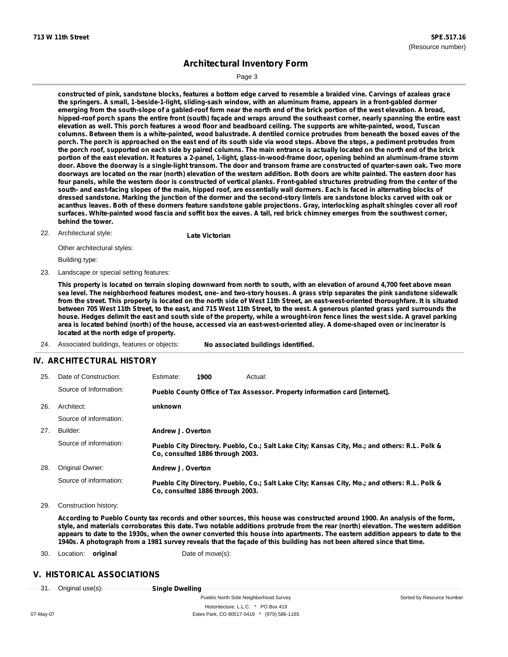Sorted by Resource Number

# **Architectural Inventory Form**

Page 3

constructed of pink, sandstone blocks, features a bottom edge carved to resemble a braided vine. Carvings of azaleas grace the springers. A small, 1-beside-1-light, sliding-sash window, with an aluminum frame, appears in a front-gabled dormer emerging from the south-slope of a gabled-roof form near the north end of the brick portion of the west elevation. A broad, hipped-roof porch spans the entire front (south) façade and wraps around the southeast corner, nearly spanning the entire east elevation as well. This porch features a wood floor and beadboard ceiling. The supports are white-painted, wood, Tuscan columns. Between them is a white-painted, wood balustrade. A dentiled cornice protrudes from beneath the boxed eaves of the porch. The porch is approached on the east end of its south side via wood steps. Above the steps, a pediment protrudes from the porch roof, supported on each side by paired columns. The main entrance is actually located on the north end of the brick portion of the east elevation. It features a 2-panel, 1-light, glass-in-wood-frame door, opening behind an aluminum-frame storm door. Above the doorway is a single-light transom. The door and transom frame are constructed of quarter-sawn oak. Two more doorways are located on the rear (north) elevation of the western addition. Both doors are white painted. The eastern door has four panels, while the western door is constructed of vertical planks. Front-gabled structures protruding from the center of the south- and east-facing slopes of the main, hipped roof, are essentially wall dormers. Each is faced in alternating blocks of dressed sandstone. Marking the junction of the dormer and the second-story lintels are sandstone blocks carved with oak or acanthus leaves. Both of these dormers feature sandstone gable projections. Gray, interlocking asphalt shingles cover all roof surfaces. White-painted wood fascia and soffit box the eaves. A tall, red brick chimney emerges from the southwest corner, **behind the tower.**

Architectural style: 22. **Late Victorian**

Other architectural styles: Building type:

23. Landscape or special setting features:

This property is located on terrain sloping downward from north to south, with an elevation of around 4,700 feet above mean sea level. The neighborhood features modest, one- and two-story houses. A grass strip separates the pink sandstone sidewalk from the street. This property is located on the north side of West 11th Street, an east-west-oriented thoroughfare. It is situated between 705 West 11th Street, to the east, and 715 West 11th Street, to the west. A generous planted grass yard surrounds the house. Hedges delimit the east and south side of the property, while a wrought-iron fence lines the west side. A gravel parking area is located behind (north) of the house, accessed via an east-west-oriented alley. A dome-shaped oven or incinerator is **located at the north edge of property.**

24. Associated buildings, features or objects: **No associated buildings identified.**

### **IV. ARCHITECTURAL HISTORY**

| 25. | Date of Construction:  | Estimate:         | 1900                             | Actual:                                                                                       |
|-----|------------------------|-------------------|----------------------------------|-----------------------------------------------------------------------------------------------|
|     | Source of Information: |                   |                                  | Pueblo County Office of Tax Assessor. Property information card [internet].                   |
| 26. | Architect:             | unknown           |                                  |                                                                                               |
|     | Source of information: |                   |                                  |                                                                                               |
| 27. | Builder:               | Andrew J. Overton |                                  |                                                                                               |
|     | Source of information: |                   | Co. consulted 1886 through 2003. | Pueblo City Directory. Pueblo, Co.; Salt Lake City; Kansas City, Mo.; and others: R.L. Polk & |
| 28. | Original Owner:        | Andrew J. Overton |                                  |                                                                                               |
|     | Source of information: |                   | Co. consulted 1886 through 2003. | Pueblo City Directory. Pueblo, Co.; Salt Lake City; Kansas City, Mo.; and others: R.L. Polk & |

29. Construction history:

According to Pueblo County tax records and other sources, this house was constructed around 1900. An analysis of the form, style, and materials corroborates this date. Two notable additions protrude from the rear (north) elevation. The western addition appears to date to the 1930s, when the owner converted this house into apartments. The eastern addition appears to date to the 1940s. A photograph from a 1981 survey reveals that the façade of this building has not been altered since that time.

30. Location: **original** Date of move(s):

### **V. HISTORICAL ASSOCIATIONS**

| O <sub>initial</sub>     | Single Dwelling         |
|--------------------------|-------------------------|
| <del>ongmarusoto).</del> | <b>Olligic Dwelling</b> |

Pueblo North Side Neighborhood Survey Historitecture, L.L.C. \* PO Box 419 07-May-07 **Estes Park, CO 80517-0419** \* (970) 586-1165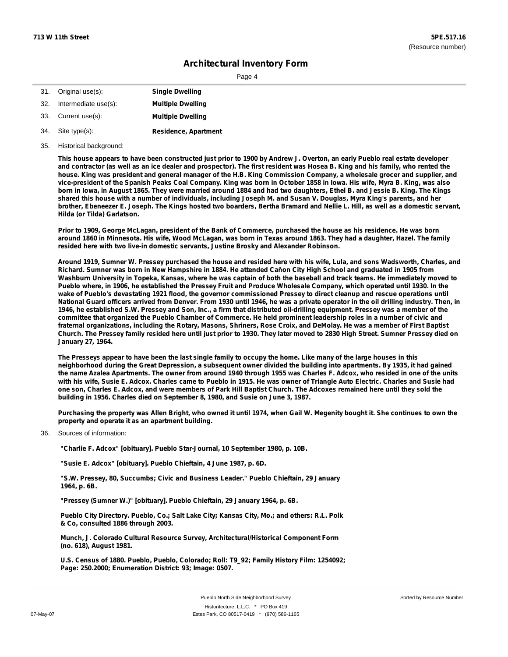Page 4

| 31. | Original use(s):         | <b>Single Dwelling</b>      |
|-----|--------------------------|-----------------------------|
|     | 32. Intermediate use(s): | <b>Multiple Dwelling</b>    |
|     | 33. Current use(s):      | <b>Multiple Dwelling</b>    |
|     | 34. Site type(s):        | <b>Residence, Apartment</b> |

35. Historical background:

This house appears to have been constructed just prior to 1900 by Andrew J. Overton, an early Pueblo real estate developer and contractor (as well as an ice dealer and prospector). The first resident was Hosea B. King and his family, who rented the house. King was president and general manager of the H.B. King Commission Company, a wholesale grocer and supplier, and vice-president of the Spanish Peaks Coal Company. King was born in October 1858 in Iowa. His wife, Myra B. King, was also born in Iowa, in August 1865. They were married around 1884 and had two daughters, Ethel B. and Jessie B. King. The Kings shared this house with a number of individuals, including Joseph M. and Susan V. Douglas, Myra King's parents, and her brother, Ebeneezer E. Joseph. The Kings hosted two boarders, Bertha Bramard and Nellie L. Hill, as well as a domestic servant, **Hilda (or Tilda) Garlatson.**

Prior to 1909, George McLagan, president of the Bank of Commerce, purchased the house as his residence. He was born around 1860 in Minnesota. His wife, Wood McLagan, was born in Texas around 1863. They had a daughter, Hazel. The family **resided here with two live-in domestic servants, Justine Brosky and Alexander Robinson.**

Around 1919, Sumner W. Pressey purchased the house and resided here with his wife, Lula, and sons Wadsworth, Charles, and Richard. Sumner was born in New Hampshire in 1884. He attended Cañon City High School and graduated in 1905 from Washburn University in Topeka, Kansas, where he was captain of both the baseball and track teams. He immediately moved to Pueblo where, in 1906, he established the Pressey Fruit and Produce Wholesale Company, which operated until 1930. In the wake of Pueblo's devastating 1921 flood, the governor commissioned Pressey to direct cleanup and rescue operations until National Guard officers arrived from Denver. From 1930 until 1946, he was a private operator in the oil drilling industry. Then, in 1946, he established S.W. Pressey and Son, Inc., a firm that distributed oil-drilling equipment. Pressey was a member of the committee that organized the Pueblo Chamber of Commerce. He held prominent leadership roles in a number of civic and fraternal organizations, including the Rotary, Masons, Shriners, Rose Croix, and DeMolay. He was a member of First Baptist Church. The Pressey family resided here until just prior to 1930. They later moved to 2830 High Street. Sumner Pressey died on **January 27, 1964.**

The Presseys appear to have been the last single family to occupy the home. Like many of the large houses in this neighborhood during the Great Depression, a subsequent owner divided the building into apartments. By 1935, it had gained the name Azalea Apartments. The owner from around 1940 through 1955 was Charles F. Adcox, who resided in one of the units with his wife, Susie E. Adcox, Charles came to Pueblo in 1915. He was owner of Triangle Auto Electric, Charles and Susie had one son, Charles E. Adcox, and were members of Park Hill Baptist Church. The Adcoxes remained here until they sold the **building in 1956. Charles died on September 8, 1980, and Susie on June 3, 1987.**

Purchasing the property was Allen Bright, who owned it until 1974, when Gail W. Megenity bought it. She continues to own the **property and operate it as an apartment building.**

Sources of information: 36.

**"Charlie F. Adcox" [obituary]. Pueblo Star-Journal, 10 September 1980, p. 10B.**

**"Susie E. Adcox" [obituary]. Pueblo Chieftain, 4 June 1987, p. 6D.**

**"S.W. Pressey, 80, Succumbs; Civic and Business Leader." Pueblo Chieftain, 29 January 1964, p. 6B.**

**"Pressey (Sumner W.)" [obituary]. Pueblo Chieftain, 29 January 1964, p. 6B.**

**Pueblo City Directory. Pueblo, Co.; Salt Lake City; Kansas City, Mo.; and others: R.L. Polk & Co, consulted 1886 through 2003.**

**Munch, J. Colorado Cultural Resource Survey, Architectural/Historical Component Form (no. 618), August 1981.**

**U.S. Census of 1880. Pueblo, Pueblo, Colorado; Roll: T9\_92; Family History Film: 1254092; Page: 250.2000; Enumeration District: 93; Image: 0507.**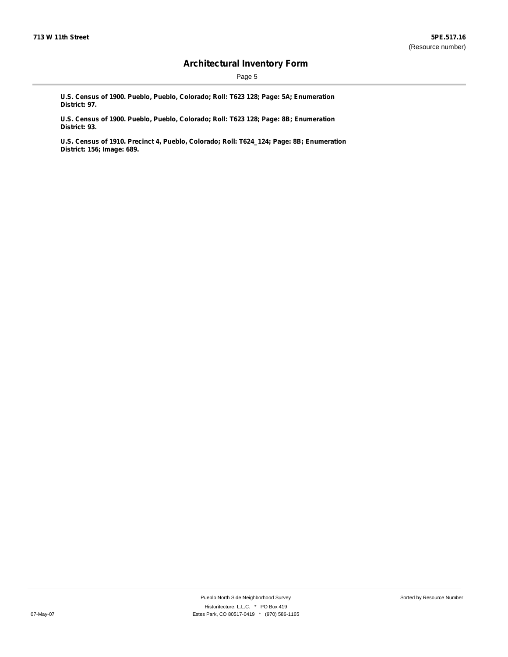Page 5

**U.S. Census of 1900. Pueblo, Pueblo, Colorado; Roll: T623 128; Page: 5A; Enumeration District: 97.**

**U.S. Census of 1900. Pueblo, Pueblo, Colorado; Roll: T623 128; Page: 8B; Enumeration District: 93.**

**U.S. Census of 1910. Precinct 4, Pueblo, Colorado; Roll: T624\_124; Page: 8B; Enumeration District: 156; Image: 689.**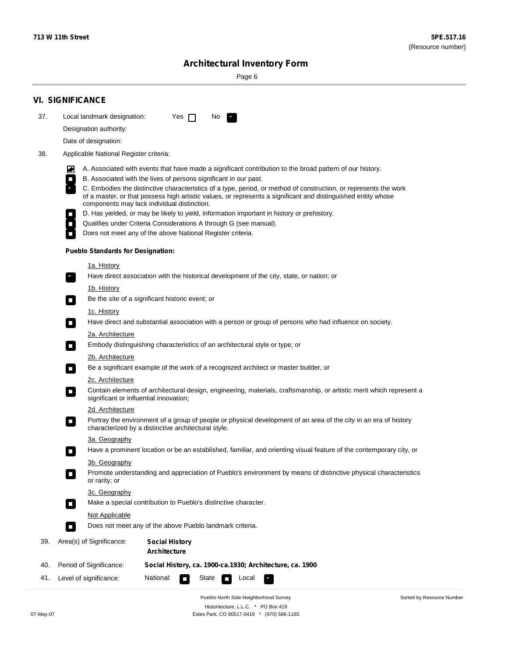Page 6

|     | <b>VI. SIGNIFICANCE</b>                                                                                                                                                                                                                                                                                                                                                                                                                                                                                                                                                                                                                                                                                                                      |                                                                                                                                                                         |  |  |  |  |  |  |
|-----|----------------------------------------------------------------------------------------------------------------------------------------------------------------------------------------------------------------------------------------------------------------------------------------------------------------------------------------------------------------------------------------------------------------------------------------------------------------------------------------------------------------------------------------------------------------------------------------------------------------------------------------------------------------------------------------------------------------------------------------------|-------------------------------------------------------------------------------------------------------------------------------------------------------------------------|--|--|--|--|--|--|
| 37. | Local landmark designation:<br>Designation authority:<br>Date of designation:                                                                                                                                                                                                                                                                                                                                                                                                                                                                                                                                                                                                                                                                | Yes $\Box$<br>No.<br>$\mathcal{F}_{\mathcal{A}}$                                                                                                                        |  |  |  |  |  |  |
| 38. | Applicable National Register criteria:                                                                                                                                                                                                                                                                                                                                                                                                                                                                                                                                                                                                                                                                                                       |                                                                                                                                                                         |  |  |  |  |  |  |
|     | A. Associated with events that have made a significant contribution to the broad pattern of our history.<br>ଭ<br>B. Associated with the lives of persons significant in our past.<br>$\Box$<br>C. Embodies the distinctive characteristics of a type, period, or method of construction, or represents the work<br>of a master, or that possess high artistic values, or represents a significant and distinguished entity whose<br>components may lack individual distinction.<br>D. Has yielded, or may be likely to yield, information important in history or prehistory.<br>Qualifies under Criteria Considerations A through G (see manual).<br>$\overline{\phantom{a}}$<br>Does not meet any of the above National Register criteria. |                                                                                                                                                                         |  |  |  |  |  |  |
|     | <b>Pueblo Standards for Designation:</b>                                                                                                                                                                                                                                                                                                                                                                                                                                                                                                                                                                                                                                                                                                     |                                                                                                                                                                         |  |  |  |  |  |  |
|     | 1a. History<br>F.                                                                                                                                                                                                                                                                                                                                                                                                                                                                                                                                                                                                                                                                                                                            | Have direct association with the historical development of the city, state, or nation; or                                                                               |  |  |  |  |  |  |
|     | <u>1b. History</u><br>$\sim$                                                                                                                                                                                                                                                                                                                                                                                                                                                                                                                                                                                                                                                                                                                 | Be the site of a significant historic event; or                                                                                                                         |  |  |  |  |  |  |
|     | 1c. History<br>$\Box$                                                                                                                                                                                                                                                                                                                                                                                                                                                                                                                                                                                                                                                                                                                        | Have direct and substantial association with a person or group of persons who had influence on society.                                                                 |  |  |  |  |  |  |
|     | 2a. Architecture<br>$\Box$                                                                                                                                                                                                                                                                                                                                                                                                                                                                                                                                                                                                                                                                                                                   | Embody distinguishing characteristics of an architectural style or type; or                                                                                             |  |  |  |  |  |  |
|     | 2b. Architecture                                                                                                                                                                                                                                                                                                                                                                                                                                                                                                                                                                                                                                                                                                                             |                                                                                                                                                                         |  |  |  |  |  |  |
|     | <b>C</b>                                                                                                                                                                                                                                                                                                                                                                                                                                                                                                                                                                                                                                                                                                                                     | Be a significant example of the work of a recognized architect or master builder, or                                                                                    |  |  |  |  |  |  |
|     | 2c. Architecture<br>$\Box$                                                                                                                                                                                                                                                                                                                                                                                                                                                                                                                                                                                                                                                                                                                   | Contain elements of architectural design, engineering, materials, craftsmanship, or artistic merit which represent a<br>significant or influential innovation;          |  |  |  |  |  |  |
|     | 2d. Architecture<br>$\blacksquare$                                                                                                                                                                                                                                                                                                                                                                                                                                                                                                                                                                                                                                                                                                           | Portray the environment of a group of people or physical development of an area of the city in an era of history<br>characterized by a distinctive architectural style. |  |  |  |  |  |  |
|     | 3a. Geography                                                                                                                                                                                                                                                                                                                                                                                                                                                                                                                                                                                                                                                                                                                                | Have a prominent location or be an established, familiar, and orienting visual feature of the contemporary city, or                                                     |  |  |  |  |  |  |
|     | 3b. Geography<br>or rarity; or                                                                                                                                                                                                                                                                                                                                                                                                                                                                                                                                                                                                                                                                                                               | Promote understanding and appreciation of Pueblo's environment by means of distinctive physical characteristics                                                         |  |  |  |  |  |  |
|     | 3c. Geography<br>$\sim$                                                                                                                                                                                                                                                                                                                                                                                                                                                                                                                                                                                                                                                                                                                      | Make a special contribution to Pueblo's distinctive character.                                                                                                          |  |  |  |  |  |  |
|     | Not Applicable                                                                                                                                                                                                                                                                                                                                                                                                                                                                                                                                                                                                                                                                                                                               | Does not meet any of the above Pueblo landmark criteria.                                                                                                                |  |  |  |  |  |  |
| 39. | Area(s) of Significance:                                                                                                                                                                                                                                                                                                                                                                                                                                                                                                                                                                                                                                                                                                                     | <b>Social History</b><br><b>Architecture</b>                                                                                                                            |  |  |  |  |  |  |
| 40. | Period of Significance:                                                                                                                                                                                                                                                                                                                                                                                                                                                                                                                                                                                                                                                                                                                      | Social History, ca. 1900-ca.1930; Architecture, ca. 1900                                                                                                                |  |  |  |  |  |  |
| 41. | Level of significance:                                                                                                                                                                                                                                                                                                                                                                                                                                                                                                                                                                                                                                                                                                                       | National:<br>Local<br>State                                                                                                                                             |  |  |  |  |  |  |
|     |                                                                                                                                                                                                                                                                                                                                                                                                                                                                                                                                                                                                                                                                                                                                              | Pueblo North Side Neighborhood Survey<br>Sorted by Resource Number                                                                                                      |  |  |  |  |  |  |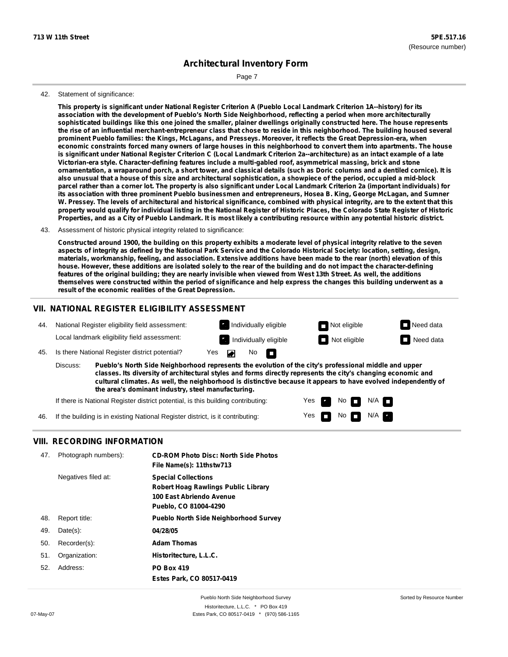Page 7

#### 42. Statement of significance:

This property is significant under National Register Criterion A (Pueblo Local Landmark Criterion 1A--history) for its **association with the development of Pueblo's North Side Neighborhood, reflecting a period when more architecturally** sophisticated buildings like this one joined the smaller, plainer dwellings originally constructed here. The house represents the rise of an influential merchant-entrepreneur class that chose to reside in this neighborhood. The building housed several **prominent Pueblo families: the Kings, McLagans, and Presseys. Moreover, it reflects the Great Depression-era, when** economic constraints forced many owners of large houses in this neighborhood to convert them into apartments. The house is significant under National Register Criterion C (Local Landmark Criterion 2a--architecture) as an intact example of a late **Victorian-era style. Character-defining features include a multi-gabled roof, asymmetrical massing, brick and stone** ornamentation, a wraparound porch, a short tower, and classical details (such as Doric columns and a dentiled cornice). It is also unusual that a house of this size and architectural sophistication, a showpiece of the period, occupied a mid-block parcel rather than a corner lot. The property is also significant under Local Landmark Criterion 2a (important individuals) for its association with three prominent Pueblo businessmen and entrepreneurs, Hosea B. King, George McLagan, and Sumner W. Pressey. The levels of architectural and historical significance, combined with physical integrity, are to the extent that this property would qualify for individual listing in the National Register of Historic Places, the Colorado State Register of Historic Properties, and as a City of Pueblo Landmark. It is most likely a contributing resource within any potential historic district.

#### 43. Assessment of historic physical integrity related to significance:

Constructed around 1900, the building on this property exhibits a moderate level of physical integrity relative to the seven aspects of integrity as defined by the National Park Service and the Colorado Historical Society: location, setting, design, materials, workmanship, feeling, and association. Extensive additions have been made to the rear (north) elevation of this house. However, these additions are isolated solely to the rear of the building and do not impact the character-defining features of the original building; they are nearly invisible when viewed from West 13th Street. As well, the additions themselves were constructed within the period of significance and help express the changes this building underwent as a **result of the economic realities of the Great Depression.**

#### **VII. NATIONAL REGISTER ELIGIBILITY ASSESSMENT**



If the building is in existing National Register district, is it contributing: 46.

#### **VIII. RECORDING INFORMATION**

| 47. | Photograph numbers): | <b>CD-ROM Photo Disc: North Side Photos</b><br>File Name(s): 11thstw713                                                       |
|-----|----------------------|-------------------------------------------------------------------------------------------------------------------------------|
|     | Negatives filed at:  | <b>Special Collections</b><br><b>Robert Hoag Rawlings Public Library</b><br>100 East Abriendo Avenue<br>Pueblo, CO 81004-4290 |
| 48. | Report title:        | <b>Pueblo North Side Neighborhood Survey</b>                                                                                  |
| 49. | $Date(s)$ :          | 04/28/05                                                                                                                      |
| 50. | Recorder(s):         | <b>Adam Thomas</b>                                                                                                            |
| 51. | Organization:        | Historitecture, L.L.C.                                                                                                        |
| 52. | Address:             | <b>PO Box 419</b><br>Estes Park, CO 80517-0419                                                                                |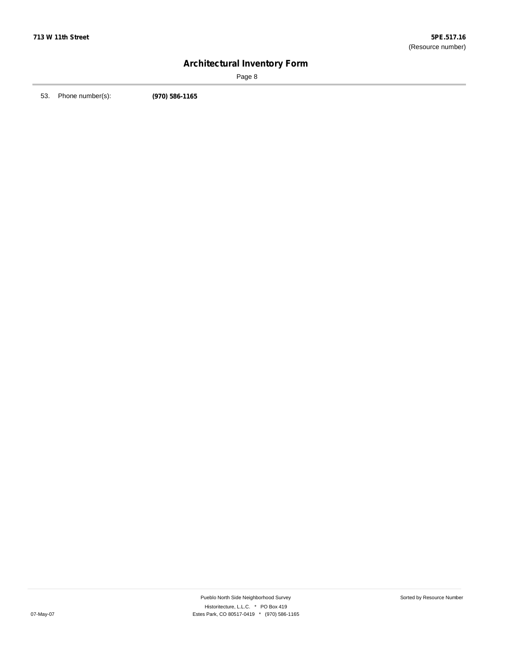Page 8

53. Phone number(s): **(970) 586-1165**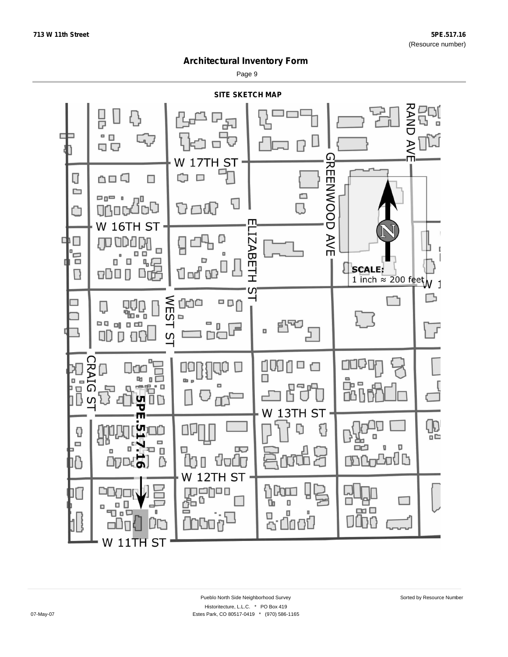Page 9